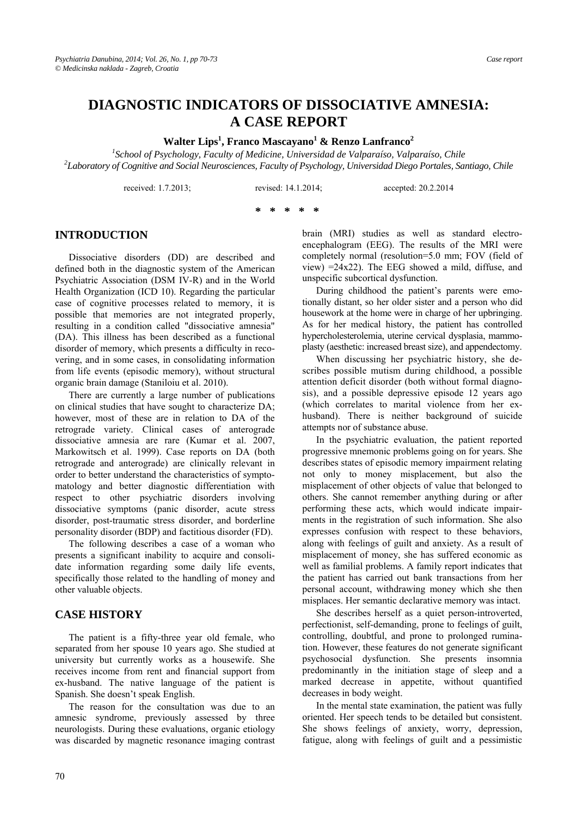# **DIAGNOSTIC INDICATORS OF DISSOCIATIVE AMNESIA: A CASE REPORT**

 $\boldsymbol{\mathrm{W}}$ alter Lips $^1$ , Franco Mascayano $^1$  & Renzo Lanfranco $^2$ 

<sup>1</sup><br>
<sup>1</sup> School of Psychology, Faculty of Medicine, Universidad de Valparaíso, Valparaíso, Chile <sup>2</sup><br>
<sup>2</sup> Charatary of Comitive and Social Naunagianeae, Faculty of Psychology, Universidad Diego Pentales, San *Laboratory of Cognitive and Social Neurosciences, Faculty of Psychology, Universidad Diego Portales, Santiago, Chile* 

received: 1.7.2013; revised: 14.1.2014; accepted: 20.2.2014

#### **\* \* \* \* \***

#### **INTRODUCTION**

Dissociative disorders (DD) are described and defined both in the diagnostic system of the American Psychiatric Association (DSM IV-R) and in the World Health Organization (ICD 10). Regarding the particular case of cognitive processes related to memory, it is possible that memories are not integrated properly, resulting in a condition called "dissociative amnesia" (DA). This illness has been described as a functional disorder of memory, which presents a difficulty in recovering, and in some cases, in consolidating information from life events (episodic memory), without structural organic brain damage (Staniloiu et al. 2010).

There are currently a large number of publications on clinical studies that have sought to characterize DA; however, most of these are in relation to DA of the retrograde variety. Clinical cases of anterograde dissociative amnesia are rare (Kumar et al. 2007, Markowitsch et al. 1999). Case reports on DA (both retrograde and anterograde) are clinically relevant in order to better understand the characteristics of symptomatology and better diagnostic differentiation with respect to other psychiatric disorders involving dissociative symptoms (panic disorder, acute stress disorder, post-traumatic stress disorder, and borderline personality disorder (BDP) and factitious disorder (FD).

The following describes a case of a woman who presents a significant inability to acquire and consolidate information regarding some daily life events, specifically those related to the handling of money and other valuable objects.

#### **CASE HISTORY**

The patient is a fifty-three year old female, who separated from her spouse 10 years ago. She studied at university but currently works as a housewife. She receives income from rent and financial support from ex-husband. The native language of the patient is Spanish. She doesn't speak English.

The reason for the consultation was due to an amnesic syndrome, previously assessed by three neurologists. During these evaluations, organic etiology was discarded by magnetic resonance imaging contrast brain (MRI) studies as well as standard electroencephalogram (EEG). The results of the MRI were completely normal (resolution=5.0 mm; FOV (field of view) =24x22). The EEG showed a mild, diffuse, and unspecific subcortical dysfunction.

During childhood the patient's parents were emotionally distant, so her older sister and a person who did housework at the home were in charge of her upbringing. As for her medical history, the patient has controlled hypercholesterolemia, uterine cervical dysplasia, mammoplasty (aesthetic: increased breast size), and appendectomy.

When discussing her psychiatric history, she describes possible mutism during childhood, a possible attention deficit disorder (both without formal diagnosis), and a possible depressive episode 12 years ago (which correlates to marital violence from her exhusband). There is neither background of suicide attempts nor of substance abuse.

In the psychiatric evaluation, the patient reported progressive mnemonic problems going on for years. She describes states of episodic memory impairment relating not only to money misplacement, but also the misplacement of other objects of value that belonged to others. She cannot remember anything during or after performing these acts, which would indicate impairments in the registration of such information. She also expresses confusion with respect to these behaviors, along with feelings of guilt and anxiety. As a result of misplacement of money, she has suffered economic as well as familial problems. A family report indicates that the patient has carried out bank transactions from her personal account, withdrawing money which she then misplaces. Her semantic declarative memory was intact.

She describes herself as a quiet person-introverted, perfectionist, self-demanding, prone to feelings of guilt, controlling, doubtful, and prone to prolonged rumination. However, these features do not generate significant psychosocial dysfunction. She presents insomnia predominantly in the initiation stage of sleep and a marked decrease in appetite, without quantified decreases in body weight.

In the mental state examination, the patient was fully oriented. Her speech tends to be detailed but consistent. She shows feelings of anxiety, worry, depression, fatigue, along with feelings of guilt and a pessimistic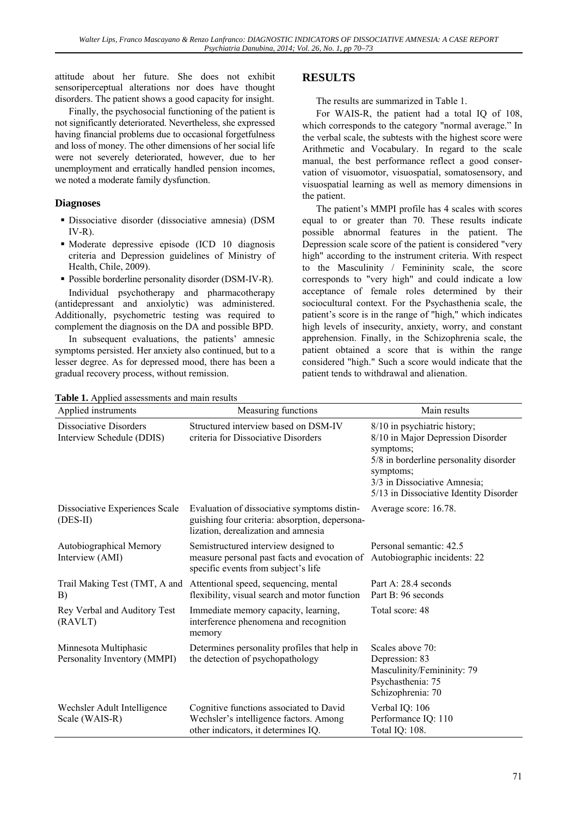attitude about her future. She does not exhibit sensoriperceptual alterations nor does have thought disorders. The patient shows a good capacity for insight.

Finally, the psychosocial functioning of the patient is not significantly deteriorated. Nevertheless, she expressed having financial problems due to occasional forgetfulness and loss of money. The other dimensions of her social life were not severely deteriorated, however, due to her unemployment and erratically handled pension incomes, we noted a moderate family dysfunction.

## **Diagnoses**

- Dissociative disorder (dissociative amnesia) (DSM  $IV-R$ ).
- Moderate depressive episode (ICD 10 diagnosis criteria and Depression guidelines of Ministry of Health, Chile, 2009).
- Possible borderline personality disorder (DSM-IV-R).

Individual psychotherapy and pharmacotherapy (antidepressant and anxiolytic) was administered. Additionally, psychometric testing was required to complement the diagnosis on the DA and possible BPD.

In subsequent evaluations, the patients' amnesic symptoms persisted. Her anxiety also continued, but to a lesser degree. As for depressed mood, there has been a gradual recovery process, without remission.

## **RESULTS**

The results are summarized in Table 1.

For WAIS-R, the patient had a total IQ of 108, which corresponds to the category "normal average." In the verbal scale, the subtests with the highest score were Arithmetic and Vocabulary. In regard to the scale manual, the best performance reflect a good conservation of visuomotor, visuospatial, somatosensory, and visuospatial learning as well as memory dimensions in the patient.

The patient's MMPI profile has 4 scales with scores equal to or greater than 70. These results indicate possible abnormal features in the patient. The Depression scale score of the patient is considered "very high" according to the instrument criteria. With respect to the Masculinity / Femininity scale, the score corresponds to "very high" and could indicate a low acceptance of female roles determined by their sociocultural context. For the Psychasthenia scale, the patient's score is in the range of "high," which indicates high levels of insecurity, anxiety, worry, and constant apprehension. Finally, in the Schizophrenia scale, the patient obtained a score that is within the range considered "high." Such a score would indicate that the patient tends to withdrawal and alienation.

| Applied instruments                                        | Measuring functions                                                                                                                  | Main results                                                                                                                                                                                                    |
|------------------------------------------------------------|--------------------------------------------------------------------------------------------------------------------------------------|-----------------------------------------------------------------------------------------------------------------------------------------------------------------------------------------------------------------|
| <b>Dissociative Disorders</b><br>Interview Schedule (DDIS) | Structured interview based on DSM-IV<br>criteria for Dissociative Disorders                                                          | 8/10 in psychiatric history;<br>8/10 in Major Depression Disorder<br>symptoms;<br>5/8 in borderline personality disorder<br>symptoms;<br>3/3 in Dissociative Amnesia;<br>5/13 in Dissociative Identity Disorder |
| Dissociative Experiences Scale<br>$(DES-II)$               | Evaluation of dissociative symptoms distin-<br>guishing four criteria: absorption, depersona-<br>lization, derealization and amnesia | Average score: 16.78.                                                                                                                                                                                           |
| Autobiographical Memory<br>Interview (AMI)                 | Semistructured interview designed to<br>measure personal past facts and evocation of<br>specific events from subject's life          | Personal semantic: 42.5<br>Autobiographic incidents: 22                                                                                                                                                         |
| Trail Making Test (TMT, A and<br>B)                        | Attentional speed, sequencing, mental<br>flexibility, visual search and motor function                                               | Part A: 28.4 seconds<br>Part B: 96 seconds                                                                                                                                                                      |
| Rey Verbal and Auditory Test<br>(RAVLT)                    | Immediate memory capacity, learning,<br>interference phenomena and recognition<br>memory                                             | Total score: 48                                                                                                                                                                                                 |
| Minnesota Multiphasic<br>Personality Inventory (MMPI)      | Determines personality profiles that help in<br>the detection of psychopathology                                                     | Scales above 70:<br>Depression: 83<br>Masculinity/Femininity: 79<br>Psychasthenia: 75<br>Schizophrenia: 70                                                                                                      |
| Wechsler Adult Intelligence<br>Scale (WAIS-R)              | Cognitive functions associated to David<br>Wechsler's intelligence factors. Among<br>other indicators, it determines IQ.             | Verbal IQ: 106<br>Performance IQ: 110<br>Total IQ: 108.                                                                                                                                                         |

**Table 1.** Applied assessments and main results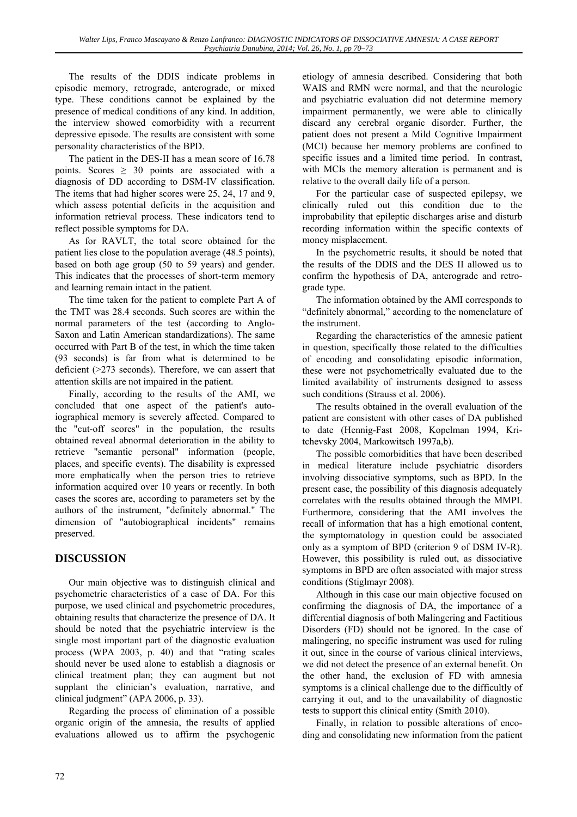The results of the DDIS indicate problems in episodic memory, retrograde, anterograde, or mixed type. These conditions cannot be explained by the presence of medical conditions of any kind. In addition, the interview showed comorbidity with a recurrent depressive episode. The results are consistent with some personality characteristics of the BPD.

The patient in the DES-II has a mean score of 16.78 points. Scores  $\geq 30$  points are associated with a diagnosis of DD according to DSM-IV classification. The items that had higher scores were 25, 24, 17 and 9, which assess potential deficits in the acquisition and information retrieval process. These indicators tend to reflect possible symptoms for DA.

As for RAVLT, the total score obtained for the patient lies close to the population average (48.5 points), based on both age group (50 to 59 years) and gender. This indicates that the processes of short-term memory and learning remain intact in the patient.

The time taken for the patient to complete Part A of the TMT was 28.4 seconds. Such scores are within the normal parameters of the test (according to Anglo-Saxon and Latin American standardizations). The same occurred with Part B of the test, in which the time taken (93 seconds) is far from what is determined to be deficient (>273 seconds). Therefore, we can assert that attention skills are not impaired in the patient.

Finally, according to the results of the AMI, we concluded that one aspect of the patient's autoiographical memory is severely affected. Compared to the "cut-off scores" in the population, the results obtained reveal abnormal deterioration in the ability to retrieve "semantic personal" information (people, places, and specific events). The disability is expressed more emphatically when the person tries to retrieve information acquired over 10 years or recently. In both cases the scores are, according to parameters set by the authors of the instrument, "definitely abnormal." The dimension of "autobiographical incidents" remains preserved.

# **DISCUSSION**

Our main objective was to distinguish clinical and psychometric characteristics of a case of DA. For this purpose, we used clinical and psychometric procedures, obtaining results that characterize the presence of DA. It should be noted that the psychiatric interview is the single most important part of the diagnostic evaluation process (WPA 2003, p. 40) and that "rating scales should never be used alone to establish a diagnosis or clinical treatment plan; they can augment but not supplant the clinician's evaluation, narrative, and clinical judgment" (APA 2006, p. 33).

Regarding the process of elimination of a possible organic origin of the amnesia, the results of applied evaluations allowed us to affirm the psychogenic etiology of amnesia described. Considering that both WAIS and RMN were normal, and that the neurologic and psychiatric evaluation did not determine memory impairment permanently, we were able to clinically discard any cerebral organic disorder. Further, the patient does not present a Mild Cognitive Impairment (MCI) because her memory problems are confined to specific issues and a limited time period. In contrast, with MCIs the memory alteration is permanent and is relative to the overall daily life of a person.

For the particular case of suspected epilepsy, we clinically ruled out this condition due to the improbability that epileptic discharges arise and disturb recording information within the specific contexts of money misplacement.

In the psychometric results, it should be noted that the results of the DDIS and the DES II allowed us to confirm the hypothesis of DA, anterograde and retrograde type.

The information obtained by the AMI corresponds to "definitely abnormal," according to the nomenclature of the instrument.

Regarding the characteristics of the amnesic patient in question, specifically those related to the difficulties of encoding and consolidating episodic information, these were not psychometrically evaluated due to the limited availability of instruments designed to assess such conditions (Strauss et al. 2006).

The results obtained in the overall evaluation of the patient are consistent with other cases of DA published to date (Hennig-Fast 2008, Kopelman 1994, Kritchevsky 2004, Markowitsch 1997a,b).

The possible comorbidities that have been described in medical literature include psychiatric disorders involving dissociative symptoms, such as BPD. In the present case, the possibility of this diagnosis adequately correlates with the results obtained through the MMPI. Furthermore, considering that the AMI involves the recall of information that has a high emotional content, the symptomatology in question could be associated only as a symptom of BPD (criterion 9 of DSM IV-R). However, this possibility is ruled out, as dissociative symptoms in BPD are often associated with major stress conditions (Stiglmayr 2008).

Although in this case our main objective focused on confirming the diagnosis of DA, the importance of a differential diagnosis of both Malingering and Factitious Disorders (FD) should not be ignored. In the case of malingering, no specific instrument was used for ruling it out, since in the course of various clinical interviews, we did not detect the presence of an external benefit. On the other hand, the exclusion of FD with amnesia symptoms is a clinical challenge due to the difficultly of carrying it out, and to the unavailability of diagnostic tests to support this clinical entity (Smith 2010).

Finally, in relation to possible alterations of encoding and consolidating new information from the patient